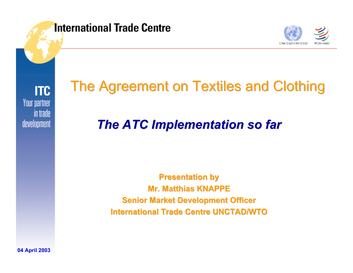**International Trade Centre** 



**ITC** Your partner in trade development

#### The Agreement on Textiles and Clothing

#### *The ATC Implementation so far The ATC Implementation so far*

**Presentation by Mr. Matthias KNAPPE Mr. Matthias KNAPPESenior Market Development Officer International Trade Centre UNCTAD/WTO International Trade Centre UNCTAD/WTO**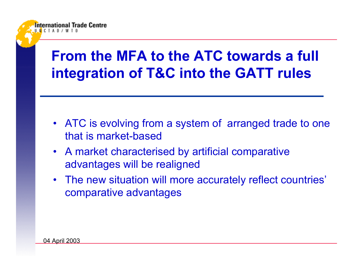### **From the MFA to the ATC towards a full integration of T&C into the GATT rules**

- ATC is evolving from a system of arranged trade to one that is market-based
- A market characterised by artificial comparative advantages will be realigned
- The new situation will more accurately reflect countries' comparative advantages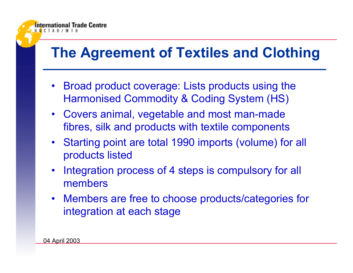#### **The Agreement of Textiles and Clothing**

- • Broad product coverage: Lists products using the Harmonised Commodity & Coding System (HS)
- Covers animal, vegetable and most man-made fibres, silk and products with textile components
- Starting point are total 1990 imports (volume) for all products listed
- $\bullet$  Integration process of 4 steps is compulsory for all members
- Members are free to choose products/categories for integration at each stage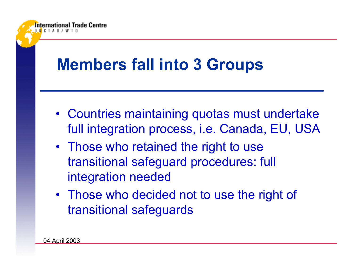

- Countries maintaining quotas must undertake full integration process, i.e. Canada, EU, USA
- Those who retained the right to use transitional safeguard procedures: full integration needed
- Those who decided not to use the right of transitional safeguards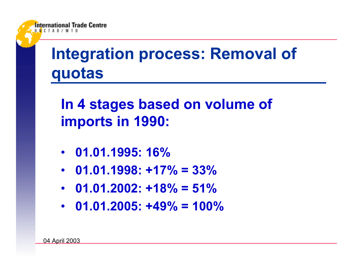

## **Integration process: Removal of quotas**

**In 4 stages based on volume of imports in 1990:**

- **01.01.1995: 16%**
- **01.01.1998: +17% = 33%**
- **01.01.2002: +18% = 51%**
- **01.01.2005: +49% = 100%**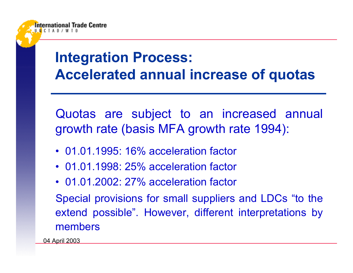

Quotas are subject to an increased annual growth rate (basis MFA growth rate 1994):

- 01.01.1995: 16% acceleration factor
- 01.01.1998: 25% acceleration factor
- 01.01.2002: 27% acceleration factor

Special provisions for small suppliers and LDCs "to the extend possible". However, different interpretations by members

04 April 2003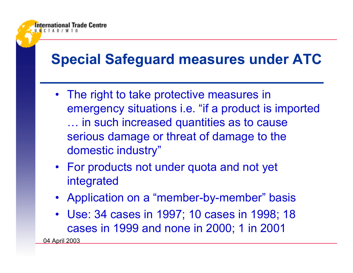#### **Special Safeguard measures under ATC**

- The right to take protective measures in emergency situations i.e. "if a product is imported … in such increased quantities as to cause serious damage or threat of damage to the domestic industry"
- For products not under quota and not yet integrated
- Application on a "member-by-member" basis
- Use: 34 cases in 1997; 10 cases in 1998; 18 cases in 1999 and none in 2000; 1 in 2001

04 April 2003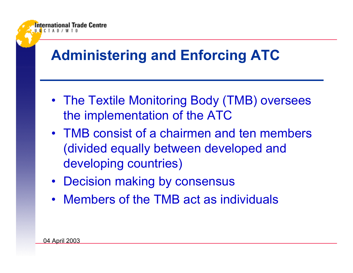### **Administering and Enforcing ATC**

- The Textile Monitoring Body (TMB) oversees the implementation of the ATC
- TMB consist of a chairmen and ten members (divided equally between developed and developing countries)
- Decision making by consensus
- Members of the TMB act as individuals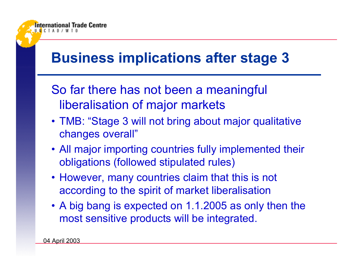#### **Business implications after stage 3**

- So far there has not been a meaningful liberalisation of major markets
- TMB: "Stage 3 will not bring about major qualitative changes overall"
- All major importing countries fully implemented their obligations (followed stipulated rules)
- However, many countries claim that this is not according to the spirit of market liberalisation
- A big bang is expected on 1.1.2005 as only then the most sensitive products will be integrated.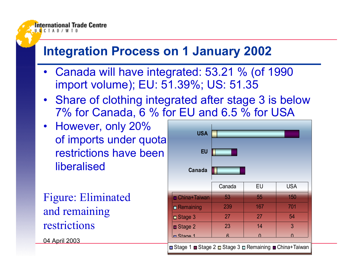#### **Integration Process on 1 January 2002**

- Canada will have integrated: 53.21 % (of 1990 import volume); EU: 51.39%; US: 51.35
- Share of clothing integrated after stage 3 is below 7% for Canada, 6 % for EU and 6.5 % for USA

 $\blacksquare$ 

• However, only 20% of imports under quota restrictions have beenliberalised

Figure: Eliminated and remaining restrictions

04 April 2003

| <b>USA</b>                                             |        |          |            |
|--------------------------------------------------------|--------|----------|------------|
| <b>EU</b>                                              |        |          |            |
| Canada                                                 |        |          |            |
|                                                        | Canada | EU       | <b>USA</b> |
| <b>n</b> China+Taiwan                                  | 53     | 55       | 150        |
| <b>Remaining</b>                                       | 239    | 167      | 701        |
| ⊒ Stage 3                                              | 27     | 27       | 54         |
| Stage 2                                                | 23     | 14       | 3          |
| <u>n Ctana 1</u>                                       | ี      | $\Omega$ | $\Omega$   |
| Stage 1 ■ Stage 2 ■ Stage 3 ■ Remaining ■ China+Taiwan |        |          |            |